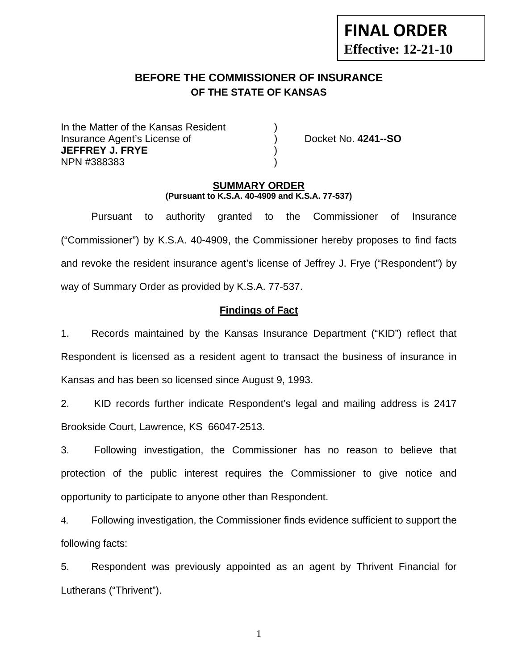# **FINAL ORDER Effective: 12-21-10**

## **BEFORE THE COMMISSIONER OF INSURANCE OF THE STATE OF KANSAS**

In the Matter of the Kansas Resident Insurance Agent's License of ) Docket No. **4241--SO JEFFREY J. FRYE** ) NPN #388383 )

#### **SUMMARY ORDER (Pursuant to K.S.A. 40-4909 and K.S.A. 77-537)**

 Pursuant to authority granted to the Commissioner of Insurance ("Commissioner") by K.S.A. 40-4909, the Commissioner hereby proposes to find facts and revoke the resident insurance agent's license of Jeffrey J. Frye ("Respondent") by way of Summary Order as provided by K.S.A. 77-537.

## **Findings of Fact**

1. Records maintained by the Kansas Insurance Department ("KID") reflect that Respondent is licensed as a resident agent to transact the business of insurance in Kansas and has been so licensed since August 9, 1993.

2. KID records further indicate Respondent's legal and mailing address is 2417 Brookside Court, Lawrence, KS 66047-2513.

3. Following investigation, the Commissioner has no reason to believe that protection of the public interest requires the Commissioner to give notice and opportunity to participate to anyone other than Respondent.

4. Following investigation, the Commissioner finds evidence sufficient to support the following facts:

5. Respondent was previously appointed as an agent by Thrivent Financial for Lutherans ("Thrivent").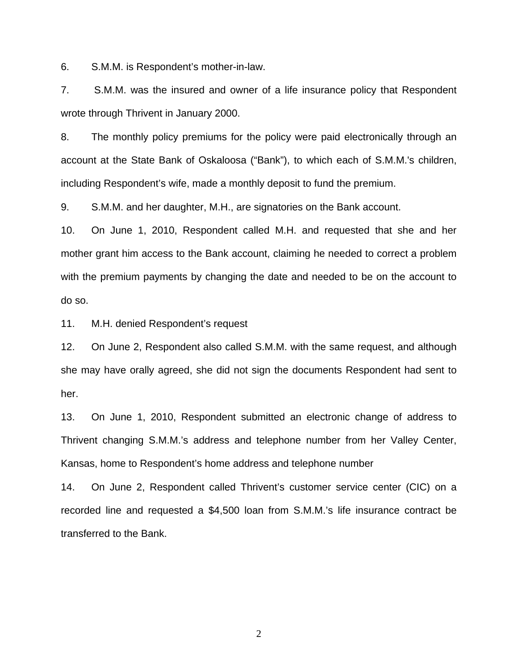6. S.M.M. is Respondent's mother-in-law.

7. S.M.M. was the insured and owner of a life insurance policy that Respondent wrote through Thrivent in January 2000.

8. The monthly policy premiums for the policy were paid electronically through an account at the State Bank of Oskaloosa ("Bank"), to which each of S.M.M.'s children, including Respondent's wife, made a monthly deposit to fund the premium.

9. S.M.M. and her daughter, M.H., are signatories on the Bank account.

10. On June 1, 2010, Respondent called M.H. and requested that she and her mother grant him access to the Bank account, claiming he needed to correct a problem with the premium payments by changing the date and needed to be on the account to do so.

11. M.H. denied Respondent's request

12. On June 2, Respondent also called S.M.M. with the same request, and although she may have orally agreed, she did not sign the documents Respondent had sent to her.

13. On June 1, 2010, Respondent submitted an electronic change of address to Thrivent changing S.M.M.'s address and telephone number from her Valley Center, Kansas, home to Respondent's home address and telephone number

14. On June 2, Respondent called Thrivent's customer service center (CIC) on a recorded line and requested a \$4,500 loan from S.M.M.'s life insurance contract be transferred to the Bank.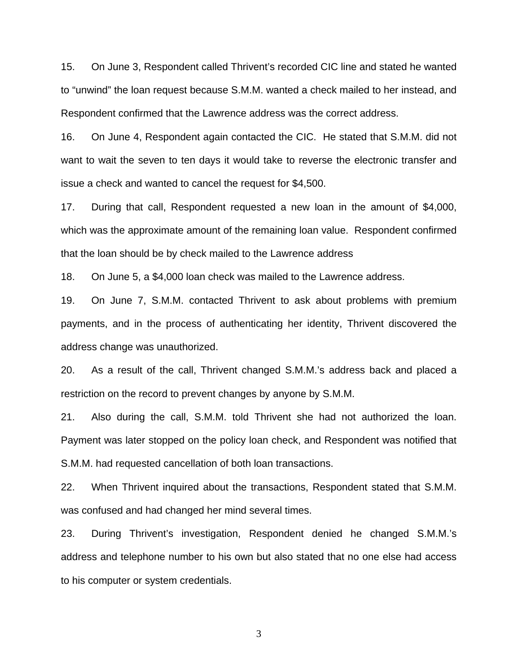15. On June 3, Respondent called Thrivent's recorded CIC line and stated he wanted to "unwind" the loan request because S.M.M. wanted a check mailed to her instead, and Respondent confirmed that the Lawrence address was the correct address.

16. On June 4, Respondent again contacted the CIC. He stated that S.M.M. did not want to wait the seven to ten days it would take to reverse the electronic transfer and issue a check and wanted to cancel the request for \$4,500.

17. During that call, Respondent requested a new loan in the amount of \$4,000, which was the approximate amount of the remaining loan value. Respondent confirmed that the loan should be by check mailed to the Lawrence address

18. On June 5, a \$4,000 loan check was mailed to the Lawrence address.

19. On June 7, S.M.M. contacted Thrivent to ask about problems with premium payments, and in the process of authenticating her identity, Thrivent discovered the address change was unauthorized.

20. As a result of the call, Thrivent changed S.M.M.'s address back and placed a restriction on the record to prevent changes by anyone by S.M.M.

21. Also during the call, S.M.M. told Thrivent she had not authorized the loan. Payment was later stopped on the policy loan check, and Respondent was notified that S.M.M. had requested cancellation of both loan transactions.

22. When Thrivent inquired about the transactions, Respondent stated that S.M.M. was confused and had changed her mind several times.

23. During Thrivent's investigation, Respondent denied he changed S.M.M.'s address and telephone number to his own but also stated that no one else had access to his computer or system credentials.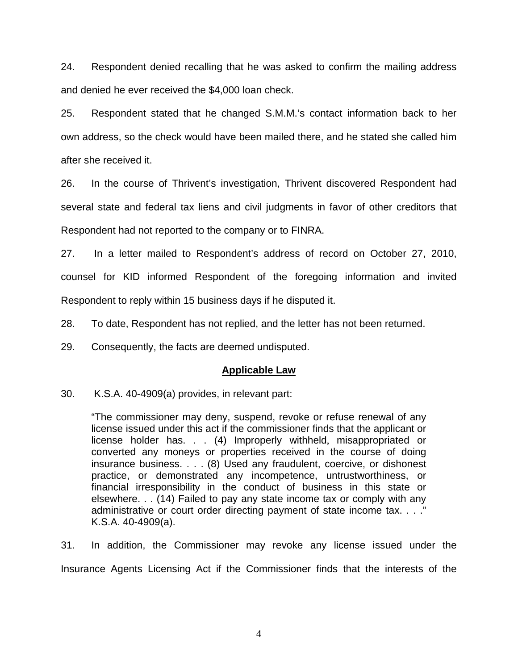24. Respondent denied recalling that he was asked to confirm the mailing address and denied he ever received the \$4,000 loan check.

25. Respondent stated that he changed S.M.M.'s contact information back to her own address, so the check would have been mailed there, and he stated she called him after she received it.

26. In the course of Thrivent's investigation, Thrivent discovered Respondent had several state and federal tax liens and civil judgments in favor of other creditors that Respondent had not reported to the company or to FINRA.

27. In a letter mailed to Respondent's address of record on October 27, 2010, counsel for KID informed Respondent of the foregoing information and invited Respondent to reply within 15 business days if he disputed it.

28. To date, Respondent has not replied, and the letter has not been returned.

29. Consequently, the facts are deemed undisputed.

#### **Applicable Law**

30. K.S.A. 40-4909(a) provides, in relevant part:

"The commissioner may deny, suspend, revoke or refuse renewal of any license issued under this act if the commissioner finds that the applicant or license holder has. . . (4) Improperly withheld, misappropriated or converted any moneys or properties received in the course of doing insurance business. . . . (8) Used any fraudulent, coercive, or dishonest practice, or demonstrated any incompetence, untrustworthiness, or financial irresponsibility in the conduct of business in this state or elsewhere. . . (14) Failed to pay any state income tax or comply with any administrative or court order directing payment of state income tax. . . ." K.S.A. 40-4909(a).

31. In addition, the Commissioner may revoke any license issued under the Insurance Agents Licensing Act if the Commissioner finds that the interests of the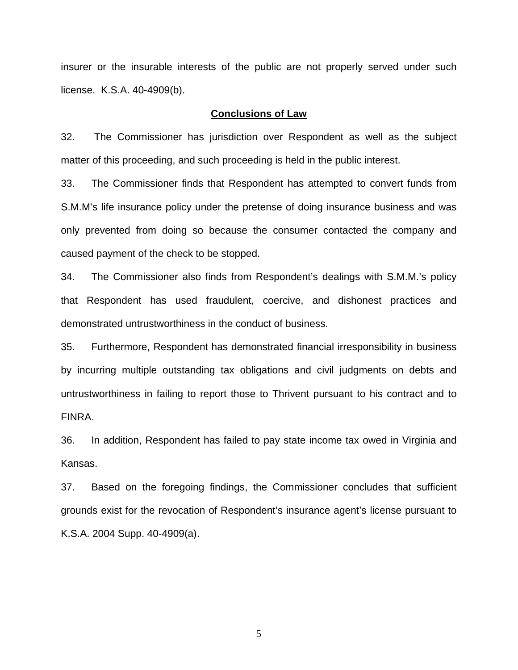insurer or the insurable interests of the public are not properly served under such license. K.S.A. 40-4909(b).

#### **Conclusions of Law**

32. The Commissioner has jurisdiction over Respondent as well as the subject matter of this proceeding, and such proceeding is held in the public interest.

33. The Commissioner finds that Respondent has attempted to convert funds from S.M.M's life insurance policy under the pretense of doing insurance business and was only prevented from doing so because the consumer contacted the company and caused payment of the check to be stopped.

34. The Commissioner also finds from Respondent's dealings with S.M.M.'s policy that Respondent has used fraudulent, coercive, and dishonest practices and demonstrated untrustworthiness in the conduct of business.

35. Furthermore, Respondent has demonstrated financial irresponsibility in business by incurring multiple outstanding tax obligations and civil judgments on debts and untrustworthiness in failing to report those to Thrivent pursuant to his contract and to FINRA.

36. In addition, Respondent has failed to pay state income tax owed in Virginia and Kansas.

37. Based on the foregoing findings, the Commissioner concludes that sufficient grounds exist for the revocation of Respondent's insurance agent's license pursuant to K.S.A. 2004 Supp. 40-4909(a).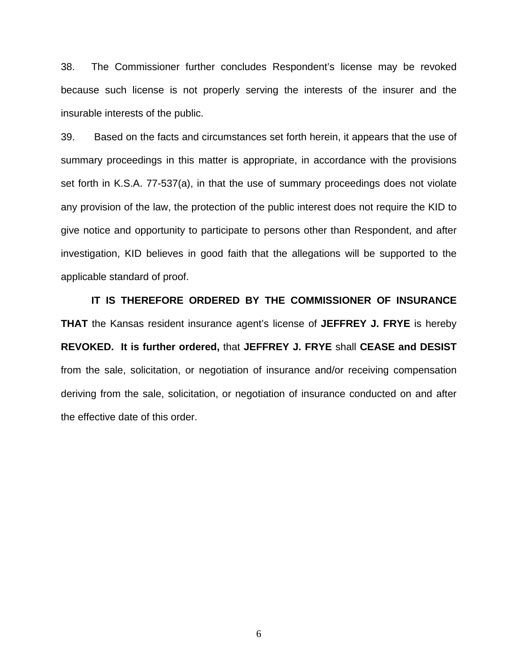38. The Commissioner further concludes Respondent's license may be revoked because such license is not properly serving the interests of the insurer and the insurable interests of the public.

39. Based on the facts and circumstances set forth herein, it appears that the use of summary proceedings in this matter is appropriate, in accordance with the provisions set forth in K.S.A. 77-537(a), in that the use of summary proceedings does not violate any provision of the law, the protection of the public interest does not require the KID to give notice and opportunity to participate to persons other than Respondent, and after investigation, KID believes in good faith that the allegations will be supported to the applicable standard of proof.

 **IT IS THEREFORE ORDERED BY THE COMMISSIONER OF INSURANCE THAT** the Kansas resident insurance agent's license of **JEFFREY J. FRYE** is hereby **REVOKED. It is further ordered,** that **JEFFREY J. FRYE** shall **CEASE and DESIST** from the sale, solicitation, or negotiation of insurance and/or receiving compensation deriving from the sale, solicitation, or negotiation of insurance conducted on and after the effective date of this order.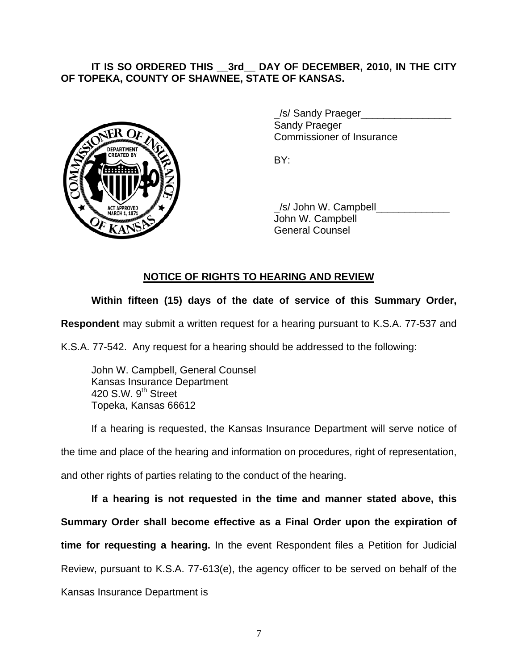### **IT IS SO ORDERED THIS \_\_3rd\_\_ DAY OF DECEMBER, 2010, IN THE CITY OF TOPEKA, COUNTY OF SHAWNEE, STATE OF KANSAS.**



/s/ Sandy Praeger Sandy Praeger Commissioner of Insurance

 \_/s/ John W. Campbell\_\_\_\_\_\_\_\_\_\_\_\_\_ John W. Campbell General Counsel

## **NOTICE OF RIGHTS TO HEARING AND REVIEW**

## **Within fifteen (15) days of the date of service of this Summary Order,**

**Respondent** may submit a written request for a hearing pursuant to K.S.A. 77-537 and

K.S.A. 77-542. Any request for a hearing should be addressed to the following:

 John W. Campbell, General Counsel Kansas Insurance Department 420 S.W. 9<sup>th</sup> Street Topeka, Kansas 66612

If a hearing is requested, the Kansas Insurance Department will serve notice of the time and place of the hearing and information on procedures, right of representation, and other rights of parties relating to the conduct of the hearing.

**If a hearing is not requested in the time and manner stated above, this Summary Order shall become effective as a Final Order upon the expiration of time for requesting a hearing.** In the event Respondent files a Petition for Judicial Review, pursuant to K.S.A. 77-613(e), the agency officer to be served on behalf of the Kansas Insurance Department is